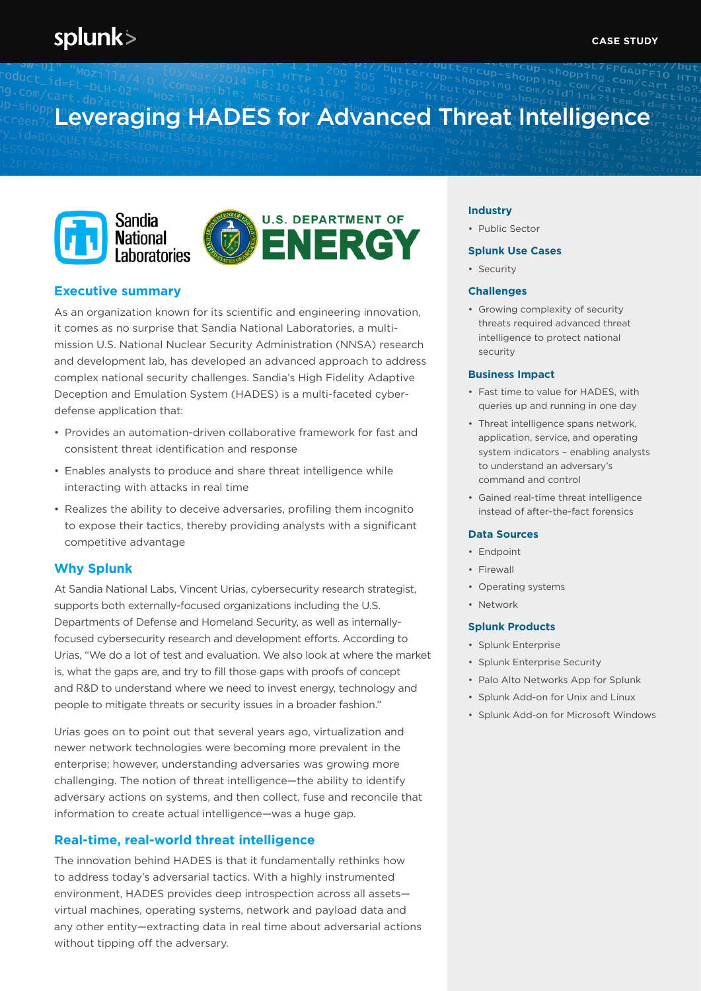# Leveraging HADES for Advanced Threat Intelligence





# **Executive summary**

As an organization known for its scientific and engineering innovation, it comes as no surprise that Sandia National Laboratories, a multimission U.S. National Nuclear Security Administration (NNSA) research and development lab, has developed an advanced approach to address complex national security challenges. Sandia's High Fidelity Adaptive Deception and Emulation System (HADES) is a multi-faceted cyberdefense application that:

- Provides an automation-driven collaborative framework for fast and consistent threat identification and response
- Enables analysts to produce and share threat intelligence while interacting with attacks in real time
- Realizes the ability to deceive adversaries, profiling them incognito to expose their tactics, thereby providing analysts with a significant competitive advantage

# **Why Splunk**

At Sandia National Labs, Vincent Urias, cybersecurity research strategist, supports both externally-focused organizations including the U.S. Departments of Defense and Homeland Security, as well as internallyfocused cybersecurity research and development efforts. According to Urias, "We do a lot of test and evaluation. We also look at where the market is, what the gaps are, and try to fill those gaps with proofs of concept and R&D to understand where we need to invest energy, technology and people to mitigate threats or security issues in a broader fashion."

Urias goes on to point out that several years ago, virtualization and newer network technologies were becoming more prevalent in the enterprise; however, understanding adversaries was growing more challenging. The notion of threat intelligence—the ability to identify adversary actions on systems, and then collect, fuse and reconcile that information to create actual intelligence—was a huge gap.

# **Real-time, real-world threat intelligence**

The innovation behind HADES is that it fundamentally rethinks how to address today's adversarial tactics. With a highly instrumented environment, HADES provides deep introspection across all assets virtual machines, operating systems, network and payload data and any other entity—extracting data in real time about adversarial actions without tipping off the adversary.

#### **Industry**

• Public Sector

## **Splunk Use Cases**

• Security

## **Challenges**

• Growing complexity of security threats required advanced threat intelligence to protect national security

#### **Business Impact**

- Fast time to value for HADES, with queries up and running in one day
- Threat intelligence spans network, application, service, and operating system indicators – enabling analysts to understand an adversary's command and control
- Gained real-time threat intelligence instead of after-the-fact forensics

### **Data Sources**

- Endpoint
- Firewall
- Operating systems
- Network

## **Splunk Products**

- Splunk Enterprise
- Splunk Enterprise Security
- Palo Alto Networks App for Splunk
- Splunk Add-on for Unix and Linux
- Splunk Add-on for Microsoft Windows